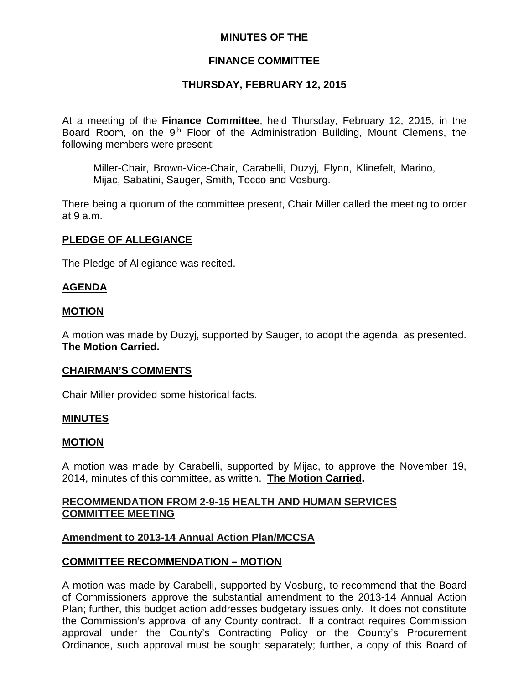## **MINUTES OF THE**

## **FINANCE COMMITTEE**

#### **THURSDAY, FEBRUARY 12, 2015**

At a meeting of the **Finance Committee**, held Thursday, February 12, 2015, in the Board Room, on the 9<sup>th</sup> Floor of the Administration Building, Mount Clemens, the following members were present:

Miller-Chair, Brown-Vice-Chair, Carabelli, Duzyj, Flynn, Klinefelt, Marino, Mijac, Sabatini, Sauger, Smith, Tocco and Vosburg.

There being a quorum of the committee present, Chair Miller called the meeting to order at 9 a.m.

#### **PLEDGE OF ALLEGIANCE**

The Pledge of Allegiance was recited.

#### **AGENDA**

#### **MOTION**

A motion was made by Duzyj, supported by Sauger, to adopt the agenda, as presented. **The Motion Carried.**

#### **CHAIRMAN'S COMMENTS**

Chair Miller provided some historical facts.

#### **MINUTES**

#### **MOTION**

A motion was made by Carabelli, supported by Mijac, to approve the November 19, 2014, minutes of this committee, as written. **The Motion Carried.**

## **RECOMMENDATION FROM 2-9-15 HEALTH AND HUMAN SERVICES COMMITTEE MEETING**

#### **Amendment to 2013-14 Annual Action Plan/MCCSA**

#### **COMMITTEE RECOMMENDATION – MOTION**

A motion was made by Carabelli, supported by Vosburg, to recommend that the Board of Commissioners approve the substantial amendment to the 2013-14 Annual Action Plan; further, this budget action addresses budgetary issues only. It does not constitute the Commission's approval of any County contract. If a contract requires Commission approval under the County's Contracting Policy or the County's Procurement Ordinance, such approval must be sought separately; further, a copy of this Board of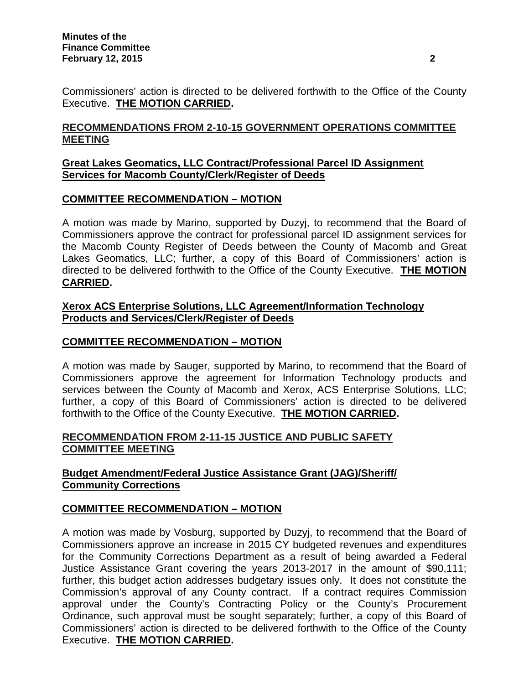Commissioners' action is directed to be delivered forthwith to the Office of the County Executive. **THE MOTION CARRIED.**

# **RECOMMENDATIONS FROM 2-10-15 GOVERNMENT OPERATIONS COMMITTEE MEETING**

## **Great Lakes Geomatics, LLC Contract/Professional Parcel ID Assignment Services for Macomb County/Clerk/Register of Deeds**

## **COMMITTEE RECOMMENDATION – MOTION**

A motion was made by Marino, supported by Duzyj, to recommend that the Board of Commissioners approve the contract for professional parcel ID assignment services for the Macomb County Register of Deeds between the County of Macomb and Great Lakes Geomatics, LLC; further, a copy of this Board of Commissioners' action is directed to be delivered forthwith to the Office of the County Executive. **THE MOTION CARRIED.**

#### **Xerox ACS Enterprise Solutions, LLC Agreement/Information Technology Products and Services/Clerk/Register of Deeds**

## **COMMITTEE RECOMMENDATION – MOTION**

A motion was made by Sauger, supported by Marino, to recommend that the Board of Commissioners approve the agreement for Information Technology products and services between the County of Macomb and Xerox, ACS Enterprise Solutions, LLC; further, a copy of this Board of Commissioners' action is directed to be delivered forthwith to the Office of the County Executive. **THE MOTION CARRIED.**

## **RECOMMENDATION FROM 2-11-15 JUSTICE AND PUBLIC SAFETY COMMITTEE MEETING**

## **Budget Amendment/Federal Justice Assistance Grant (JAG)/Sheriff/ Community Corrections**

## **COMMITTEE RECOMMENDATION – MOTION**

A motion was made by Vosburg, supported by Duzyj, to recommend that the Board of Commissioners approve an increase in 2015 CY budgeted revenues and expenditures for the Community Corrections Department as a result of being awarded a Federal Justice Assistance Grant covering the years 2013-2017 in the amount of \$90,111; further, this budget action addresses budgetary issues only. It does not constitute the Commission's approval of any County contract. If a contract requires Commission approval under the County's Contracting Policy or the County's Procurement Ordinance, such approval must be sought separately; further, a copy of this Board of Commissioners' action is directed to be delivered forthwith to the Office of the County Executive. **THE MOTION CARRIED.**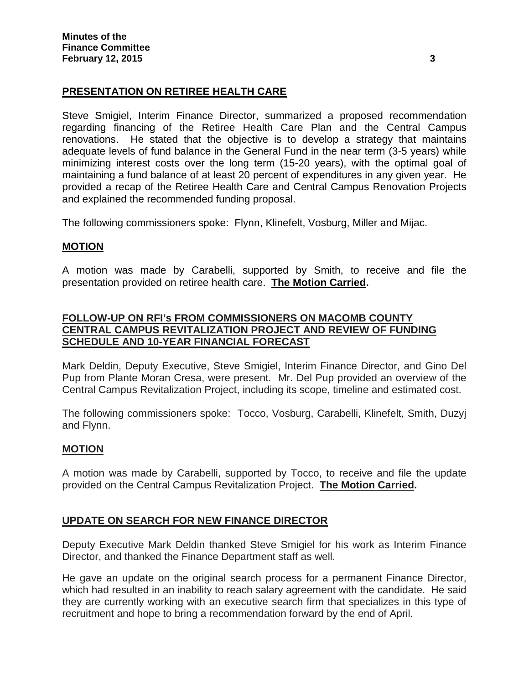# **PRESENTATION ON RETIREE HEALTH CARE**

Steve Smigiel, Interim Finance Director, summarized a proposed recommendation regarding financing of the Retiree Health Care Plan and the Central Campus renovations. He stated that the objective is to develop a strategy that maintains adequate levels of fund balance in the General Fund in the near term (3-5 years) while minimizing interest costs over the long term (15-20 years), with the optimal goal of maintaining a fund balance of at least 20 percent of expenditures in any given year. He provided a recap of the Retiree Health Care and Central Campus Renovation Projects and explained the recommended funding proposal.

The following commissioners spoke: Flynn, Klinefelt, Vosburg, Miller and Mijac.

## **MOTION**

A motion was made by Carabelli, supported by Smith, to receive and file the presentation provided on retiree health care. **The Motion Carried.**

## **FOLLOW-UP ON RFI's FROM COMMISSIONERS ON MACOMB COUNTY CENTRAL CAMPUS REVITALIZATION PROJECT AND REVIEW OF FUNDING SCHEDULE AND 10-YEAR FINANCIAL FORECAST**

Mark Deldin, Deputy Executive, Steve Smigiel, Interim Finance Director, and Gino Del Pup from Plante Moran Cresa, were present. Mr. Del Pup provided an overview of the Central Campus Revitalization Project, including its scope, timeline and estimated cost.

The following commissioners spoke: Tocco, Vosburg, Carabelli, Klinefelt, Smith, Duzyj and Flynn.

## **MOTION**

A motion was made by Carabelli, supported by Tocco, to receive and file the update provided on the Central Campus Revitalization Project. **The Motion Carried.**

## **UPDATE ON SEARCH FOR NEW FINANCE DIRECTOR**

Deputy Executive Mark Deldin thanked Steve Smigiel for his work as Interim Finance Director, and thanked the Finance Department staff as well.

He gave an update on the original search process for a permanent Finance Director, which had resulted in an inability to reach salary agreement with the candidate. He said they are currently working with an executive search firm that specializes in this type of recruitment and hope to bring a recommendation forward by the end of April.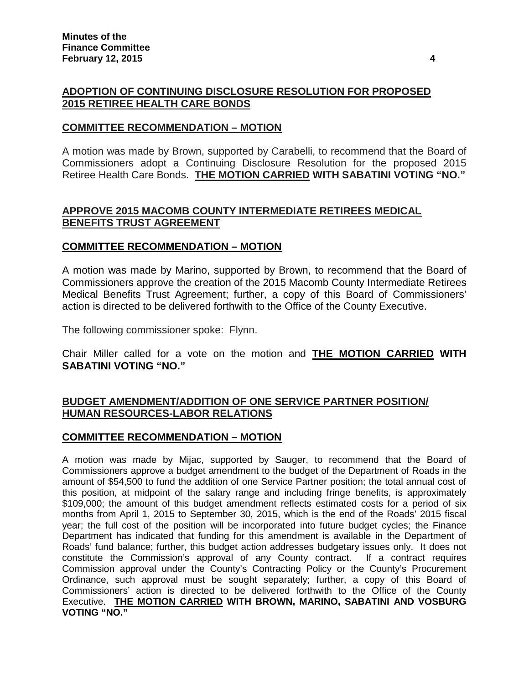## **ADOPTION OF CONTINUING DISCLOSURE RESOLUTION FOR PROPOSED 2015 RETIREE HEALTH CARE BONDS**

#### **COMMITTEE RECOMMENDATION – MOTION**

A motion was made by Brown, supported by Carabelli, to recommend that the Board of Commissioners adopt a Continuing Disclosure Resolution for the proposed 2015 Retiree Health Care Bonds. **THE MOTION CARRIED WITH SABATINI VOTING "NO."**

#### **APPROVE 2015 MACOMB COUNTY INTERMEDIATE RETIREES MEDICAL BENEFITS TRUST AGREEMENT**

#### **COMMITTEE RECOMMENDATION – MOTION**

A motion was made by Marino, supported by Brown, to recommend that the Board of Commissioners approve the creation of the 2015 Macomb County Intermediate Retirees Medical Benefits Trust Agreement; further, a copy of this Board of Commissioners' action is directed to be delivered forthwith to the Office of the County Executive.

The following commissioner spoke: Flynn.

Chair Miller called for a vote on the motion and **THE MOTION CARRIED WITH SABATINI VOTING "NO."**

## **BUDGET AMENDMENT/ADDITION OF ONE SERVICE PARTNER POSITION/ HUMAN RESOURCES-LABOR RELATIONS**

#### **COMMITTEE RECOMMENDATION – MOTION**

A motion was made by Mijac, supported by Sauger, to recommend that the Board of Commissioners approve a budget amendment to the budget of the Department of Roads in the amount of \$54,500 to fund the addition of one Service Partner position; the total annual cost of this position, at midpoint of the salary range and including fringe benefits, is approximately \$109,000; the amount of this budget amendment reflects estimated costs for a period of six months from April 1, 2015 to September 30, 2015, which is the end of the Roads' 2015 fiscal year; the full cost of the position will be incorporated into future budget cycles; the Finance Department has indicated that funding for this amendment is available in the Department of Roads' fund balance; further, this budget action addresses budgetary issues only. It does not constitute the Commission's approval of any County contract. If a contract requires Commission approval under the County's Contracting Policy or the County's Procurement Ordinance, such approval must be sought separately; further, a copy of this Board of Commissioners' action is directed to be delivered forthwith to the Office of the County Executive. **THE MOTION CARRIED WITH BROWN, MARINO, SABATINI AND VOSBURG VOTING "NO."**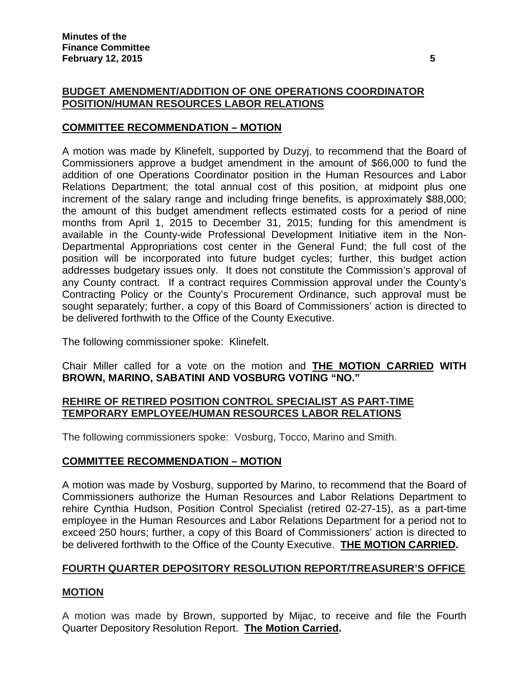## **BUDGET AMENDMENT/ADDITION OF ONE OPERATIONS COORDINATOR POSITION/HUMAN RESOURCES LABOR RELATIONS**

## **COMMITTEE RECOMMENDATION – MOTION**

A motion was made by Klinefelt, supported by Duzyj, to recommend that the Board of Commissioners approve a budget amendment in the amount of \$66,000 to fund the addition of one Operations Coordinator position in the Human Resources and Labor Relations Department; the total annual cost of this position, at midpoint plus one increment of the salary range and including fringe benefits, is approximately \$88,000; the amount of this budget amendment reflects estimated costs for a period of nine months from April 1, 2015 to December 31, 2015; funding for this amendment is available in the County-wide Professional Development Initiative item in the Non-Departmental Appropriations cost center in the General Fund; the full cost of the position will be incorporated into future budget cycles; further, this budget action addresses budgetary issues only. It does not constitute the Commission's approval of any County contract. If a contract requires Commission approval under the County's Contracting Policy or the County's Procurement Ordinance, such approval must be sought separately; further, a copy of this Board of Commissioners' action is directed to be delivered forthwith to the Office of the County Executive.

The following commissioner spoke: Klinefelt.

Chair Miller called for a vote on the motion and **THE MOTION CARRIED WITH BROWN, MARINO, SABATINI AND VOSBURG VOTING "NO."**

## **REHIRE OF RETIRED POSITION CONTROL SPECIALIST AS PART-TIME TEMPORARY EMPLOYEE/HUMAN RESOURCES LABOR RELATIONS**

The following commissioners spoke: Vosburg, Tocco, Marino and Smith.

## **COMMITTEE RECOMMENDATION – MOTION**

A motion was made by Vosburg, supported by Marino, to recommend that the Board of Commissioners authorize the Human Resources and Labor Relations Department to rehire Cynthia Hudson, Position Control Specialist (retired 02-27-15), as a part-time employee in the Human Resources and Labor Relations Department for a period not to exceed 250 hours; further, a copy of this Board of Commissioners' action is directed to be delivered forthwith to the Office of the County Executive. **THE MOTION CARRIED.**

## **FOURTH QUARTER DEPOSITORY RESOLUTION REPORT/TREASURER'S OFFICE**

## **MOTION**

A motion was made by Brown, supported by Mijac, to receive and file the Fourth Quarter Depository Resolution Report. **The Motion Carried.**